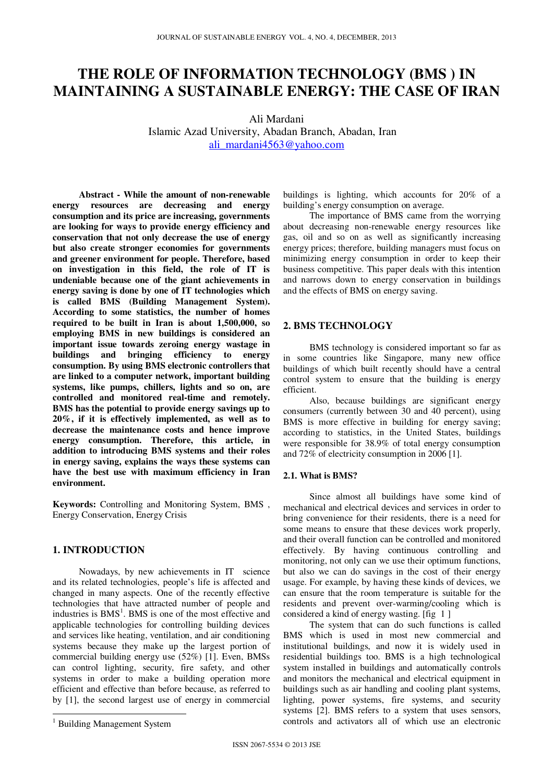# **THE ROLE OF INFORMATION TECHNOLOGY (BMS ) IN MAINTAINING A SUSTAINABLE ENERGY: THE CASE OF IRAN**

Ali Mardani Islamic Azad University, Abadan Branch, Abadan, Iran ali\_mardani4563@yahoo.com

**Abstract - While the amount of non-renewable energy resources are decreasing and energy consumption and its price are increasing, governments are looking for ways to provide energy efficiency and conservation that not only decrease the use of energy but also create stronger economies for governments and greener environment for people. Therefore, based on investigation in this field, the role of IT is undeniable because one of the giant achievements in energy saving is done by one of IT technologies which is called BMS (Building Management System). According to some statistics, the number of homes required to be built in Iran is about 1,500,000, so employing BMS in new buildings is considered an important issue towards zeroing energy wastage in buildings and bringing efficiency to energy consumption. By using BMS electronic controllers that are linked to a computer network, important building systems, like pumps, chillers, lights and so on, are controlled and monitored real-time and remotely. BMS has the potential to provide energy savings up to 20%, if it is effectively implemented, as well as to decrease the maintenance costs and hence improve energy consumption. Therefore, this article, in addition to introducing BMS systems and their roles in energy saving, explains the ways these systems can have the best use with maximum efficiency in Iran environment.**

**Keywords:** Controlling and Monitoring System, BMS , Energy Conservation, Energy Crisis

## **1. INTRODUCTION**

Nowadays, by new achievements in IT science and its related technologies, people's life is affected and changed in many aspects. One of the recently effective technologies that have attracted number of people and industries is BMS<sup>1</sup>. BMS is one of the most effective and applicable technologies for controlling building devices and services like heating, ventilation, and air conditioning systems because they make up the largest portion of commercial building energy use (52%) [1]. Even, BMSs can control lighting, security, fire safety, and other systems in order to make a building operation more efficient and effective than before because, as referred to by [1], the second largest use of energy in commercial

 $\overline{a}$ 

buildings is lighting, which accounts for 20% of a building's energy consumption on average.

The importance of BMS came from the worrying about decreasing non-renewable energy resources like gas, oil and so on as well as significantly increasing energy prices; therefore, building managers must focus on minimizing energy consumption in order to keep their business competitive. This paper deals with this intention and narrows down to energy conservation in buildings and the effects of BMS on energy saving.

## **2. BMS TECHNOLOGY**

BMS technology is considered important so far as in some countries like Singapore, many new office buildings of which built recently should have a central control system to ensure that the building is energy efficient.

Also, because buildings are significant energy consumers (currently between 30 and 40 percent), using BMS is more effective in building for energy saving; according to statistics, in the United States, buildings were responsible for 38.9% of total energy consumption and 72% of electricity consumption in 2006 [1].

### **2.1. What is BMS?**

Since almost all buildings have some kind of mechanical and electrical devices and services in order to bring convenience for their residents, there is a need for some means to ensure that these devices work properly, and their overall function can be controlled and monitored effectively. By having continuous controlling and monitoring, not only can we use their optimum functions, but also we can do savings in the cost of their energy usage. For example, by having these kinds of devices, we can ensure that the room temperature is suitable for the residents and prevent over-warming/cooling which is considered a kind of energy wasting. [fig 1 ]

The system that can do such functions is called BMS which is used in most new commercial and institutional buildings, and now it is widely used in residential buildings too. BMS is a high technological system installed in buildings and automatically controls and monitors the mechanical and electrical equipment in buildings such as air handling and cooling plant systems, lighting, power systems, fire systems, and security systems [2]. BMS refers to a system that uses sensors, controls and activators all of which use an electronic

<sup>&</sup>lt;sup>1</sup> Building Management System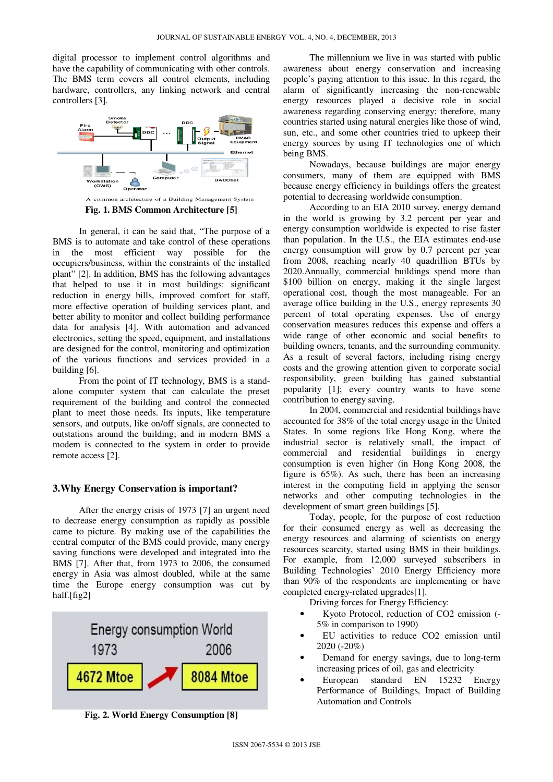digital processor to implement control algorithms and have the capability of communicating with other controls. The BMS term covers all control elements, including hardware, controllers, any linking network and central controllers [3].



**Fig. 1. BMS Common Architecture [5]** 

In general, it can be said that, "The purpose of a BMS is to automate and take control of these operations in the most efficient way possible for the occupiers/business, within the constraints of the installed plant" [2]. In addition, BMS has the following advantages that helped to use it in most buildings: significant reduction in energy bills, improved comfort for staff, more effective operation of building services plant, and better ability to monitor and collect building performance data for analysis [4]. With automation and advanced electronics, setting the speed, equipment, and installations are designed for the control, monitoring and optimization of the various functions and services provided in a building [6].

From the point of IT technology, BMS is a standalone computer system that can calculate the preset requirement of the building and control the connected plant to meet those needs. Its inputs, like temperature sensors, and outputs, like on/off signals, are connected to outstations around the building; and in modern BMS a modem is connected to the system in order to provide remote access [2].

### **3.Why Energy Conservation is important?**

After the energy crisis of 1973 [7] an urgent need to decrease energy consumption as rapidly as possible came to picture. By making use of the capabilities the central computer of the BMS could provide, many energy saving functions were developed and integrated into the BMS [7]. After that, from 1973 to 2006, the consumed energy in Asia was almost doubled, while at the same time the Europe energy consumption was cut by half.[fig2]



**Fig. 2. World Energy Consumption [8]** 

The millennium we live in was started with public awareness about energy conservation and increasing people's paying attention to this issue. In this regard, the alarm of significantly increasing the non-renewable energy resources played a decisive role in social awareness regarding conserving energy; therefore, many countries started using natural energies like those of wind, sun, etc., and some other countries tried to upkeep their energy sources by using IT technologies one of which being BMS.

Nowadays, because buildings are major energy consumers, many of them are equipped with BMS because energy efficiency in buildings offers the greatest potential to decreasing worldwide consumption.

According to an EIA 2010 survey, energy demand in the world is growing by 3.2 percent per year and energy consumption worldwide is expected to rise faster than population. In the U.S., the EIA estimates end-use energy consumption will grow by 0.7 percent per year from 2008, reaching nearly 40 quadrillion BTUs by 2020.Annually, commercial buildings spend more than \$100 billion on energy, making it the single largest operational cost, though the most manageable. For an average office building in the U.S., energy represents 30 percent of total operating expenses. Use of energy conservation measures reduces this expense and offers a wide range of other economic and social benefits to building owners, tenants, and the surrounding community. As a result of several factors, including rising energy costs and the growing attention given to corporate social responsibility, green building has gained substantial popularity [1]; every country wants to have some contribution to energy saving.

In 2004, commercial and residential buildings have accounted for 38% of the total energy usage in the United States. In some regions like Hong Kong, where the industrial sector is relatively small, the impact of commercial and residential buildings in energy consumption is even higher (in Hong Kong 2008, the figure is 65%). As such, there has been an increasing interest in the computing field in applying the sensor networks and other computing technologies in the development of smart green buildings [5].

Today, people, for the purpose of cost reduction for their consumed energy as well as decreasing the energy resources and alarming of scientists on energy resources scarcity, started using BMS in their buildings. For example, from 12,000 surveyed subscribers in Building Technologies' 2010 Energy Efficiency more than 90% of the respondents are implementing or have completed energy-related upgrades[1].

Driving forces for Energy Efficiency:

- Kyoto Protocol, reduction of CO2 emission (- 5% in comparison to 1990)
- EU activities to reduce CO2 emission until 2020 (-20%)
- Demand for energy savings, due to long-term increasing prices of oil, gas and electricity
- European standard EN 15232 Energy Performance of Buildings, Impact of Building Automation and Controls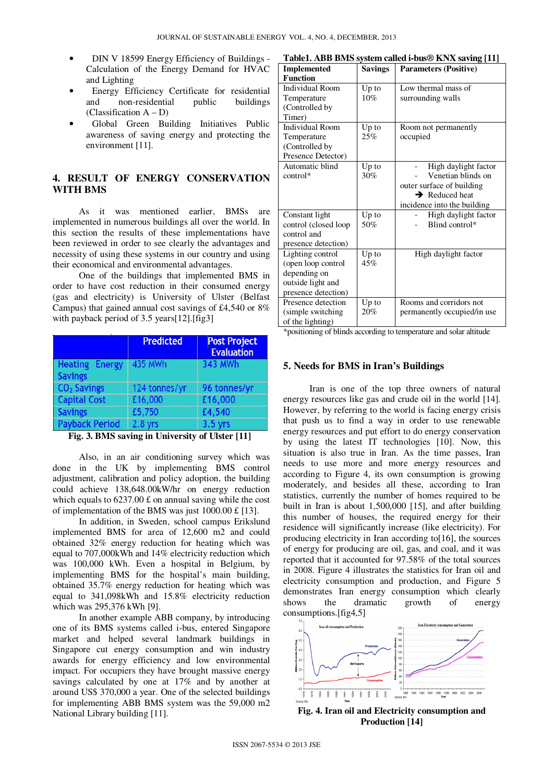- DIN V 18599 Energy Efficiency of Buildings -Calculation of the Energy Demand for HVAC and Lighting
- Energy Efficiency Certificate for residential and non-residential public buildings  $(Classification A - D)$
- Global Green Building Initiatives Public awareness of saving energy and protecting the environment [11].

## **4. RESULT OF ENERGY CONSERVATION WITH BMS**

As it was mentioned earlier, BMSs are implemented in numerous buildings all over the world. In this section the results of these implementations have been reviewed in order to see clearly the advantages and necessity of using these systems in our country and using their economical and environmental advantages.

One of the buildings that implemented BMS in order to have cost reduction in their consumed energy (gas and electricity) is University of Ulster (Belfast Campus) that gained annual cost savings of £4,540 or 8% with payback period of 3.5 years[12].[fig3]

|                                         | <b>Predicted</b> | <b>Post Project</b><br><b>Evaluation</b> |
|-----------------------------------------|------------------|------------------------------------------|
| <b>Heating Energy</b><br><b>Savings</b> | <b>435 MWh</b>   | 343 MWh                                  |
| CO <sub>2</sub> Savings                 | 124 tonnes/yr    | 96 tonnes/yr                             |
| <b>Capital Cost</b>                     | £16,000          | £16,000                                  |
| <b>Savings</b>                          | £5,750           | £4,540                                   |
| <b>Payback Period</b>                   | $2.8$ yrs        | $3.5$ yrs                                |

**Fig. 3. BMS saving in University of Ulster [11]** 

Also, in an air conditioning survey which was done in the UK by implementing BMS control adjustment, calibration and policy adoption, the building could achieve 138,648.00kW/hr on energy reduction which equals to  $6237.00 \text{ f}$  on annual saving while the cost of implementation of the BMS was just 1000.00 £ [13].

In addition, in Sweden, school campus Erikslund implemented BMS for area of 12,600 m2 and could obtained 32% energy reduction for heating which was equal to 707,000kWh and 14% electricity reduction which was 100,000 kWh. Even a hospital in Belgium, by implementing BMS for the hospital's main building, obtained 35.7% energy reduction for heating which was equal to 341,098kWh and 15.8% electricity reduction which was 295,376 kWh [9].

In another example ABB company, by introducing one of its BMS systems called i-bus, entered Singapore market and helped several landmark buildings in Singapore cut energy consumption and win industry awards for energy efficiency and low environmental impact. For occupiers they have brought massive energy savings calculated by one at 17% and by another at around US\$ 370,000 a year. One of the selected buildings for implementing ABB BMS system was the 59,000 m2 National Library building [11].

| Table1. ABB BMS system called i-bus® KNX saving [11] |  |  |
|------------------------------------------------------|--|--|
|------------------------------------------------------|--|--|

| <b>FAULT.</b> ADD DIVIS SYSKIN CANCU PUUS® IN VA SAVING [TT]                                                                                      |                |                              |  |  |
|---------------------------------------------------------------------------------------------------------------------------------------------------|----------------|------------------------------|--|--|
| <b>Implemented</b>                                                                                                                                | <b>Savings</b> | <b>Parameters (Positive)</b> |  |  |
| <b>Function</b>                                                                                                                                   |                |                              |  |  |
| <b>Individual Room</b>                                                                                                                            | $Up$ to        | Low thermal mass of          |  |  |
| Temperature                                                                                                                                       | 10%            | surrounding walls            |  |  |
| (Controlled by                                                                                                                                    |                |                              |  |  |
| Timer)                                                                                                                                            |                |                              |  |  |
| Individual Room                                                                                                                                   | Up to          | Room not permanently         |  |  |
| Temperature                                                                                                                                       | 25%            | occupied                     |  |  |
| (Controlled by                                                                                                                                    |                |                              |  |  |
| Presence Detector)                                                                                                                                |                |                              |  |  |
| Automatic blind                                                                                                                                   | Up to          | High daylight factor         |  |  |
| control*                                                                                                                                          | 30%            | Venetian blinds on           |  |  |
|                                                                                                                                                   |                | outer surface of building    |  |  |
|                                                                                                                                                   |                | $\rightarrow$ Reduced heat   |  |  |
|                                                                                                                                                   |                | incidence into the building  |  |  |
| Constant light                                                                                                                                    | Up to          | High daylight factor         |  |  |
| control (closed loop)                                                                                                                             | 50%            | Blind control*               |  |  |
| control and                                                                                                                                       |                |                              |  |  |
| presence detection)                                                                                                                               |                |                              |  |  |
| Lighting control                                                                                                                                  | $Up$ to        | High daylight factor         |  |  |
| (open loop control                                                                                                                                | 45%            |                              |  |  |
| depending on                                                                                                                                      |                |                              |  |  |
| outside light and                                                                                                                                 |                |                              |  |  |
| presence detection)                                                                                                                               |                |                              |  |  |
| Presence detection                                                                                                                                | Up to          | Rooms and corridors not      |  |  |
| (simple switching)                                                                                                                                | 20%            | permanently occupied/in use  |  |  |
| of the lighting)                                                                                                                                  |                |                              |  |  |
| بدايا والمستقط والتقيم والمستقط فقطعت والمحافظ<br>a:.<br>المائد ويتفاعلون والمتحارب والمستخرج والمستحقق<br>$\mathbf{A} = \mathbf{A} + \mathbf{A}$ |                |                              |  |  |

\*positioning of blinds according to temperature and solar altitude

### **5. Needs for BMS in Iran's Buildings**

Iran is one of the top three owners of natural energy resources like gas and crude oil in the world [14]. However, by referring to the world is facing energy crisis that push us to find a way in order to use renewable energy resources and put effort to do energy conservation by using the latest IT technologies [10]. Now, this situation is also true in Iran. As the time passes, Iran needs to use more and more energy resources and according to Figure 4, its own consumption is growing moderately, and besides all these, according to Iran statistics, currently the number of homes required to be built in Iran is about 1,500,000 [15], and after building this number of houses, the required energy for their residence will significantly increase (like electricity). For producing electricity in Iran according to[16], the sources of energy for producing are oil, gas, and coal, and it was reported that it accounted for 97.58% of the total sources in 2008. Figure 4 illustrates the statistics for Iran oil and electricity consumption and production, and Figure 5 demonstrates Iran energy consumption which clearly shows the dramatic growth of energy consumptions.[fig4,5]



**Fig. 4. Iran oil and Electricity consumption and Production [14]**